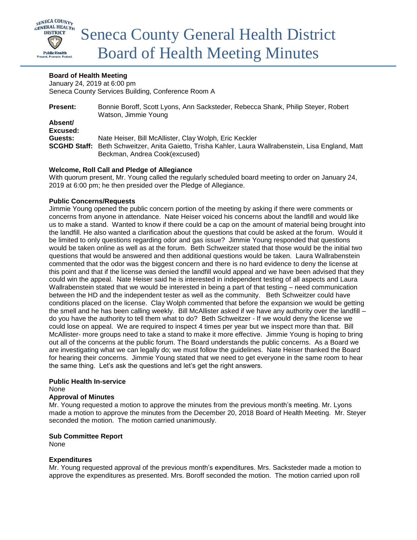

## **Board of Health Meeting**

January 24, 2019 at 6:00 pm Seneca County Services Building, Conference Room A

| <b>Present:</b>     | Bonnie Boroff, Scott Lyons, Ann Sacksteder, Rebecca Shank, Philip Steyer, Robert<br>Watson, Jimmie Young                 |
|---------------------|--------------------------------------------------------------------------------------------------------------------------|
| Absent/             |                                                                                                                          |
| Excused:            |                                                                                                                          |
| Guests:             | Nate Heiser, Bill McAllister, Clay Wolph, Eric Keckler                                                                   |
| <b>SCGHD Staff:</b> | Beth Schweitzer, Anita Gaietto, Trisha Kahler, Laura Wallrabenstein, Lisa England, Matt<br>Beckman, Andrea Cook(excused) |

## **Welcome, Roll Call and Pledge of Allegiance**

With quorum present, Mr. Young called the regularly scheduled board meeting to order on January 24, 2019 at 6:00 pm; he then presided over the Pledge of Allegiance.

## **Public Concerns/Requests**

Jimmie Young opened the public concern portion of the meeting by asking if there were comments or concerns from anyone in attendance. Nate Heiser voiced his concerns about the landfill and would like us to make a stand. Wanted to know if there could be a cap on the amount of material being brought into the landfill. He also wanted a clarification about the questions that could be asked at the forum. Would it be limited to only questions regarding odor and gas issue? Jimmie Young responded that questions would be taken online as well as at the forum. Beth Schweitzer stated that those would be the initial two questions that would be answered and then additional questions would be taken. Laura Wallrabenstein commented that the odor was the biggest concern and there is no hard evidence to deny the license at this point and that if the license was denied the landfill would appeal and we have been advised that they could win the appeal. Nate Heiser said he is interested in independent testing of all aspects and Laura Wallrabenstein stated that we would be interested in being a part of that testing – need communication between the HD and the independent tester as well as the community. Beth Schweitzer could have conditions placed on the license. Clay Wolph commented that before the expansion we would be getting the smell and he has been calling weekly. Bill McAllister asked if we have any authority over the landfill – do you have the authority to tell them what to do? Beth Schweitzer - If we would deny the license we could lose on appeal. We are required to inspect 4 times per year but we inspect more than that. Bill McAllister- more groups need to take a stand to make it more effective. Jimmie Young is hoping to bring out all of the concerns at the public forum. The Board understands the public concerns. As a Board we are investigating what we can legally do; we must follow the guidelines. Nate Heiser thanked the Board for hearing their concerns. Jimmie Young stated that we need to get everyone in the same room to hear the same thing. Let's ask the questions and let's get the right answers.

#### **Public Health In-service**

None

#### **Approval of Minutes**

Mr. Young requested a motion to approve the minutes from the previous month's meeting. Mr. Lyons made a motion to approve the minutes from the December 20, 2018 Board of Health Meeting. Mr. Steyer seconded the motion. The motion carried unanimously.

#### **Sub Committee Report**

None

## **Expenditures**

Mr. Young requested approval of the previous month's expenditures. Mrs. Sacksteder made a motion to approve the expenditures as presented. Mrs. Boroff seconded the motion. The motion carried upon roll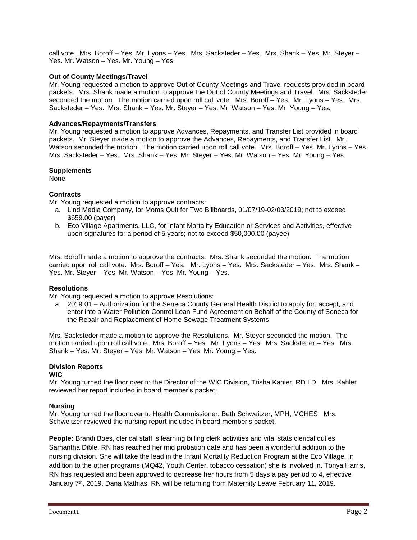call vote. Mrs. Boroff – Yes. Mr. Lyons – Yes. Mrs. Sacksteder – Yes. Mrs. Shank – Yes. Mr. Steyer – Yes. Mr. Watson – Yes. Mr. Young – Yes.

### **Out of County Meetings/Travel**

Mr. Young requested a motion to approve Out of County Meetings and Travel requests provided in board packets. Mrs. Shank made a motion to approve the Out of County Meetings and Travel. Mrs. Sacksteder seconded the motion. The motion carried upon roll call vote. Mrs. Boroff - Yes. Mr. Lyons - Yes. Mrs. Sacksteder – Yes. Mrs. Shank – Yes. Mr. Steyer – Yes. Mr. Watson – Yes. Mr. Young – Yes.

#### **Advances/Repayments/Transfers**

Mr. Young requested a motion to approve Advances, Repayments, and Transfer List provided in board packets. Mr. Steyer made a motion to approve the Advances, Repayments, and Transfer List. Mr. Watson seconded the motion. The motion carried upon roll call vote. Mrs. Boroff – Yes. Mr. Lyons – Yes. Mrs. Sacksteder – Yes. Mrs. Shank – Yes. Mr. Steyer – Yes. Mr. Watson – Yes. Mr. Young – Yes.

#### **Supplements**

None

## **Contracts**

Mr. Young requested a motion to approve contracts:

- a. Lind Media Company, for Moms Quit for Two Billboards, 01/07/19-02/03/2019; not to exceed \$659.00 (payer)
- b. Eco Village Apartments, LLC, for Infant Mortality Education or Services and Activities, effective upon signatures for a period of 5 years; not to exceed \$50,000.00 (payee)

Mrs. Boroff made a motion to approve the contracts. Mrs. Shank seconded the motion. The motion carried upon roll call vote. Mrs. Boroff – Yes. Mr. Lyons – Yes. Mrs. Sacksteder – Yes. Mrs. Shank – Yes. Mr. Steyer – Yes. Mr. Watson – Yes. Mr. Young – Yes.

#### **Resolutions**

Mr. Young requested a motion to approve Resolutions:

a. 2019.01 – Authorization for the Seneca County General Health District to apply for, accept, and enter into a Water Pollution Control Loan Fund Agreement on Behalf of the County of Seneca for the Repair and Replacement of Home Sewage Treatment Systems

Mrs. Sacksteder made a motion to approve the Resolutions. Mr. Steyer seconded the motion. The motion carried upon roll call vote. Mrs. Boroff – Yes. Mr. Lyons – Yes. Mrs. Sacksteder – Yes. Mrs. Shank – Yes. Mr. Steyer – Yes. Mr. Watson – Yes. Mr. Young – Yes.

# **Division Reports**

**WIC**

Mr. Young turned the floor over to the Director of the WIC Division, Trisha Kahler, RD LD. Mrs. Kahler reviewed her report included in board member's packet:

#### **Nursing**

Mr. Young turned the floor over to Health Commissioner, Beth Schweitzer, MPH, MCHES. Mrs. Schweitzer reviewed the nursing report included in board member's packet.

**People:** Brandi Boes, clerical staff is learning billing clerk activities and vital stats clerical duties. Samantha Dible, RN has reached her mid probation date and has been a wonderful addition to the nursing division. She will take the lead in the Infant Mortality Reduction Program at the Eco Village. In addition to the other programs (MQ42, Youth Center, tobacco cessation) she is involved in. Tonya Harris, RN has requested and been approved to decrease her hours from 5 days a pay period to 4, effective January 7<sup>th</sup>, 2019. Dana Mathias, RN will be returning from Maternity Leave February 11, 2019.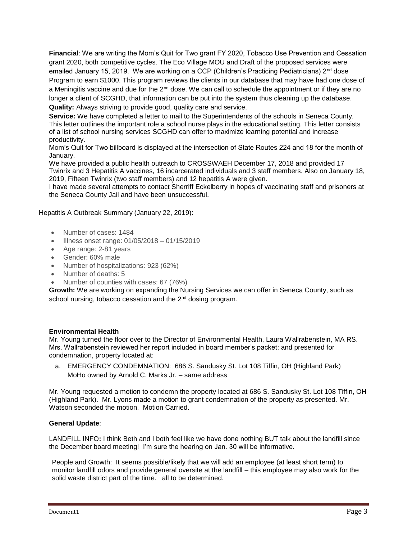**Financial**: We are writing the Mom's Quit for Two grant FY 2020, Tobacco Use Prevention and Cessation grant 2020, both competitive cycles. The Eco Village MOU and Draft of the proposed services were emailed January 15, 2019. We are working on a CCP (Children's Practicing Pediatricians)  $2^{nd}$  dose Program to earn \$1000. This program reviews the clients in our database that may have had one dose of a Meningitis vaccine and due for the  $2<sup>nd</sup>$  dose. We can call to schedule the appointment or if they are no longer a client of SCGHD, that information can be put into the system thus cleaning up the database. **Quality:** Always striving to provide good, quality care and service.

**Service:** We have completed a letter to mail to the Superintendents of the schools in Seneca County. This letter outlines the important role a school nurse plays in the educational setting. This letter consists of a list of school nursing services SCGHD can offer to maximize learning potential and increase productivity.

Mom's Quit for Two billboard is displayed at the intersection of State Routes 224 and 18 for the month of January.

We have provided a public health outreach to CROSSWAEH December 17, 2018 and provided 17 Twinrix and 3 Hepatitis A vaccines, 16 incarcerated individuals and 3 staff members. Also on January 18, 2019, Fifteen Twinrix (two staff members) and 12 hepatitis A were given.

I have made several attempts to contact Sherriff Eckelberry in hopes of vaccinating staff and prisoners at the Seneca County Jail and have been unsuccessful.

Hepatitis A Outbreak Summary (January 22, 2019):

- Number of cases: 1484
- Illness onset range: 01/05/2018 01/15/2019
- Age range: 2-81 years
- Gender: 60% male
- Number of hospitalizations: 923 (62%)
- Number of deaths: 5
- Number of counties with cases: 67 (76%)

**Growth:** We are working on expanding the Nursing Services we can offer in Seneca County, such as school nursing, tobacco cessation and the 2<sup>nd</sup> dosing program.

#### **Environmental Health**

Mr. Young turned the floor over to the Director of Environmental Health, Laura Wallrabenstein, MA RS. Mrs. Wallrabenstein reviewed her report included in board member's packet: and presented for condemnation, property located at:

a. EMERGENCY CONDEMNATION: 686 S. Sandusky St. Lot 108 Tiffin, OH (Highland Park) MoHo owned by Arnold C. Marks Jr. – same address

Mr. Young requested a motion to condemn the property located at 686 S. Sandusky St. Lot 108 Tiffin, OH (Highland Park). Mr. Lyons made a motion to grant condemnation of the property as presented. Mr. Watson seconded the motion. Motion Carried.

#### **General Update**:

LANDFILL INFO**:** I think Beth and I both feel like we have done nothing BUT talk about the landfill since the December board meeting!I'm sure the hearing on Jan. 30 will be informative.

People and Growth:It seems possible/likely that we will add an employee (at least short term) to monitor landfill odors and provide general oversite at the landfill – this employee may also work for the solid waste district part of the time. all to be determined.